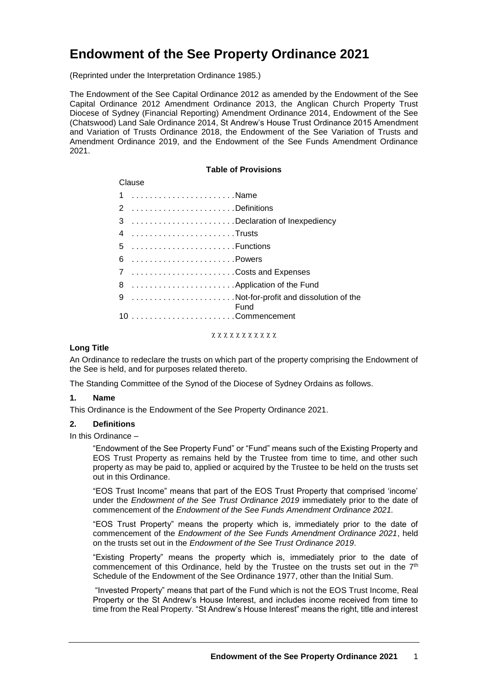# **Endowment of the See Property Ordinance 2021**

(Reprinted under the Interpretation Ordinance 1985.)

The Endowment of the See Capital Ordinance 2012 as amended by the Endowment of the See Capital Ordinance 2012 Amendment Ordinance 2013, the Anglican Church Property Trust Diocese of Sydney (Financial Reporting) Amendment Ordinance 2014, Endowment of the See (Chatswood) Land Sale Ordinance 2014, St Andrew's House Trust Ordinance 2015 Amendment and Variation of Trusts Ordinance 2018, the Endowment of the See Variation of Trusts and Amendment Ordinance 2019, and the Endowment of the See Funds Amendment Ordinance 2021.

## **Table of Provisions**

| Clause |                               |                                         |
|--------|-------------------------------|-----------------------------------------|
|        | 1 Name                        |                                         |
|        | 2 Definitions                 |                                         |
|        | 3 Declaration of Inexpediency |                                         |
|        |                               |                                         |
|        | 5 Functions                   |                                         |
|        |                               |                                         |
|        | 7 Costs and Expenses          |                                         |
|        | 8  Application of the Fund    |                                         |
|        |                               | 9 Not-for-profit and dissolution of the |
|        |                               | Fund                                    |
|        |                               |                                         |

#### xxxxxxxxxxx

## **Long Title**

An Ordinance to redeclare the trusts on which part of the property comprising the Endowment of the See is held, and for purposes related thereto.

The Standing Committee of the Synod of the Diocese of Sydney Ordains as follows.

## **1. Name**

This Ordinance is the Endowment of the See Property Ordinance 2021.

## **2. Definitions**

In this Ordinance –

"Endowment of the See Property Fund" or "Fund" means such of the Existing Property and EOS Trust Property as remains held by the Trustee from time to time, and other such property as may be paid to, applied or acquired by the Trustee to be held on the trusts set out in this Ordinance.

"EOS Trust Income" means that part of the EOS Trust Property that comprised 'income' under the *Endowment of the See Trust Ordinance 2019* immediately prior to the date of commencement of the *Endowment of the See Funds Amendment Ordinance 2021.*

"EOS Trust Property" means the property which is, immediately prior to the date of commencement of the *Endowment of the See Funds Amendment Ordinance 2021*, held on the trusts set out in the *Endowment of the See Trust Ordinance 2019*.

"Existing Property" means the property which is, immediately prior to the date of commencement of this Ordinance, held by the Trustee on the trusts set out in the 7<sup>th</sup> Schedule of the Endowment of the See Ordinance 1977, other than the Initial Sum.

"Invested Property" means that part of the Fund which is not the EOS Trust Income, Real Property or the St Andrew's House Interest, and includes income received from time to time from the Real Property. "St Andrew's House Interest" means the right, title and interest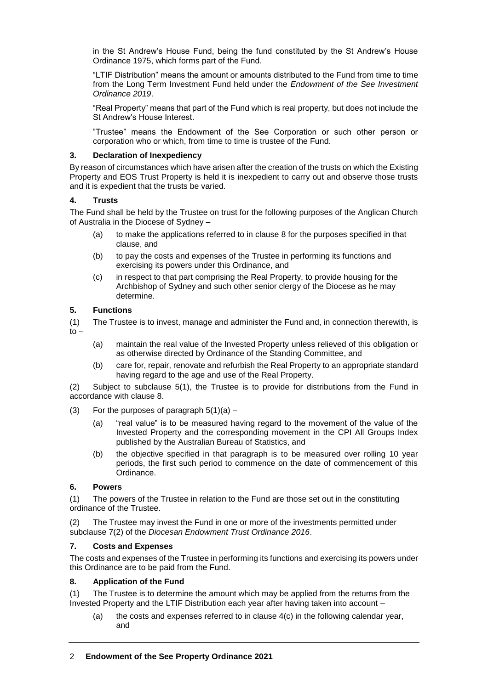in the St Andrew's House Fund, being the fund constituted by the St Andrew's House Ordinance 1975, which forms part of the Fund.

"LTIF Distribution" means the amount or amounts distributed to the Fund from time to time from the Long Term Investment Fund held under the *Endowment of the See Investment Ordinance 2019*.

"Real Property" means that part of the Fund which is real property, but does not include the St Andrew's House Interest.

"Trustee" means the Endowment of the See Corporation or such other person or corporation who or which, from time to time is trustee of the Fund.

## **3. Declaration of Inexpediency**

By reason of circumstances which have arisen after the creation of the trusts on which the Existing Property and EOS Trust Property is held it is inexpedient to carry out and observe those trusts and it is expedient that the trusts be varied.

# **4. Trusts**

The Fund shall be held by the Trustee on trust for the following purposes of the Anglican Church of Australia in the Diocese of Sydney –

- (a) to make the applications referred to in clause 8 for the purposes specified in that clause, and
- (b) to pay the costs and expenses of the Trustee in performing its functions and exercising its powers under this Ordinance, and
- (c) in respect to that part comprising the Real Property, to provide housing for the Archbishop of Sydney and such other senior clergy of the Diocese as he may determine.

# **5. Functions**

(1) The Trustee is to invest, manage and administer the Fund and, in connection therewith, is  $to -$ 

- (a) maintain the real value of the Invested Property unless relieved of this obligation or as otherwise directed by Ordinance of the Standing Committee, and
- (b) care for, repair, renovate and refurbish the Real Property to an appropriate standard having regard to the age and use of the Real Property.

(2) Subject to subclause 5(1), the Trustee is to provide for distributions from the Fund in accordance with clause 8.

- (3) For the purposes of paragraph  $5(1)(a)$ 
	- (a) "real value" is to be measured having regard to the movement of the value of the Invested Property and the corresponding movement in the CPI All Groups Index published by the Australian Bureau of Statistics, and
	- (b) the objective specified in that paragraph is to be measured over rolling 10 year periods, the first such period to commence on the date of commencement of this Ordinance.

# **6. Powers**

(1) The powers of the Trustee in relation to the Fund are those set out in the constituting ordinance of the Trustee.

(2) The Trustee may invest the Fund in one or more of the investments permitted under subclause 7(2) of the *Diocesan Endowment Trust Ordinance 2016*.

# **7. Costs and Expenses**

The costs and expenses of the Trustee in performing its functions and exercising its powers under this Ordinance are to be paid from the Fund.

# **8. Application of the Fund**

(1) The Trustee is to determine the amount which may be applied from the returns from the Invested Property and the LTIF Distribution each year after having taken into account –

(a) the costs and expenses referred to in clause 4(c) in the following calendar year, and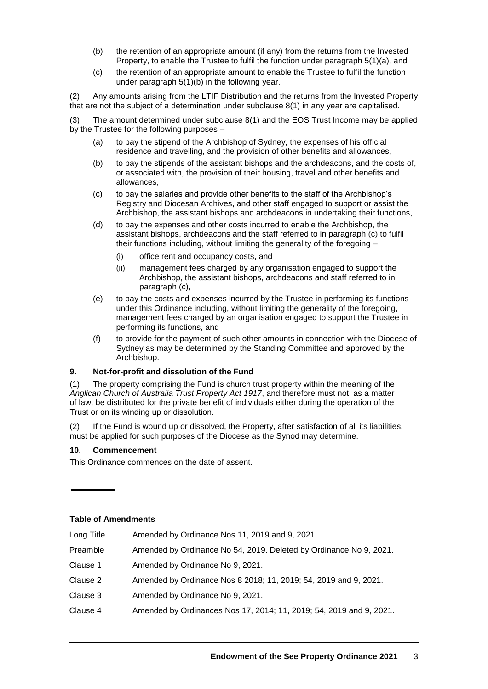- (b) the retention of an appropriate amount (if any) from the returns from the Invested Property, to enable the Trustee to fulfil the function under paragraph 5(1)(a), and
- (c) the retention of an appropriate amount to enable the Trustee to fulfil the function under paragraph 5(1)(b) in the following year.

(2) Any amounts arising from the LTIF Distribution and the returns from the Invested Property that are not the subject of a determination under subclause 8(1) in any year are capitalised.

(3) The amount determined under subclause 8(1) and the EOS Trust Income may be applied by the Trustee for the following purposes –

- (a) to pay the stipend of the Archbishop of Sydney, the expenses of his official residence and travelling, and the provision of other benefits and allowances,
- (b) to pay the stipends of the assistant bishops and the archdeacons, and the costs of, or associated with, the provision of their housing, travel and other benefits and allowances,
- (c) to pay the salaries and provide other benefits to the staff of the Archbishop's Registry and Diocesan Archives, and other staff engaged to support or assist the Archbishop, the assistant bishops and archdeacons in undertaking their functions,
- (d) to pay the expenses and other costs incurred to enable the Archbishop, the assistant bishops, archdeacons and the staff referred to in paragraph (c) to fulfil their functions including, without limiting the generality of the foregoing –
	- (i) office rent and occupancy costs, and
	- (ii) management fees charged by any organisation engaged to support the Archbishop, the assistant bishops, archdeacons and staff referred to in paragraph (c),
- (e) to pay the costs and expenses incurred by the Trustee in performing its functions under this Ordinance including, without limiting the generality of the foregoing, management fees charged by an organisation engaged to support the Trustee in performing its functions, and
- (f) to provide for the payment of such other amounts in connection with the Diocese of Sydney as may be determined by the Standing Committee and approved by the Archbishop.

# **9. Not-for-profit and dissolution of the Fund**

(1) The property comprising the Fund is church trust property within the meaning of the *Anglican Church of Australia Trust Property Act 1917*, and therefore must not, as a matter of law, be distributed for the private benefit of individuals either during the operation of the Trust or on its winding up or dissolution.

If the Fund is wound up or dissolved, the Property, after satisfaction of all its liabilities, must be applied for such purposes of the Diocese as the Synod may determine.

# **10. Commencement**

This Ordinance commences on the date of assent.

## **Table of Amendments**

| Long Title | Amended by Ordinance Nos 11, 2019 and 9, 2021.                      |
|------------|---------------------------------------------------------------------|
| Preamble   | Amended by Ordinance No 54, 2019. Deleted by Ordinance No 9, 2021.  |
| Clause 1   | Amended by Ordinance No 9, 2021.                                    |
| Clause 2   | Amended by Ordinance Nos 8 2018; 11, 2019; 54, 2019 and 9, 2021.    |
| Clause 3   | Amended by Ordinance No 9, 2021.                                    |
| Clause 4   | Amended by Ordinances Nos 17, 2014; 11, 2019; 54, 2019 and 9, 2021. |